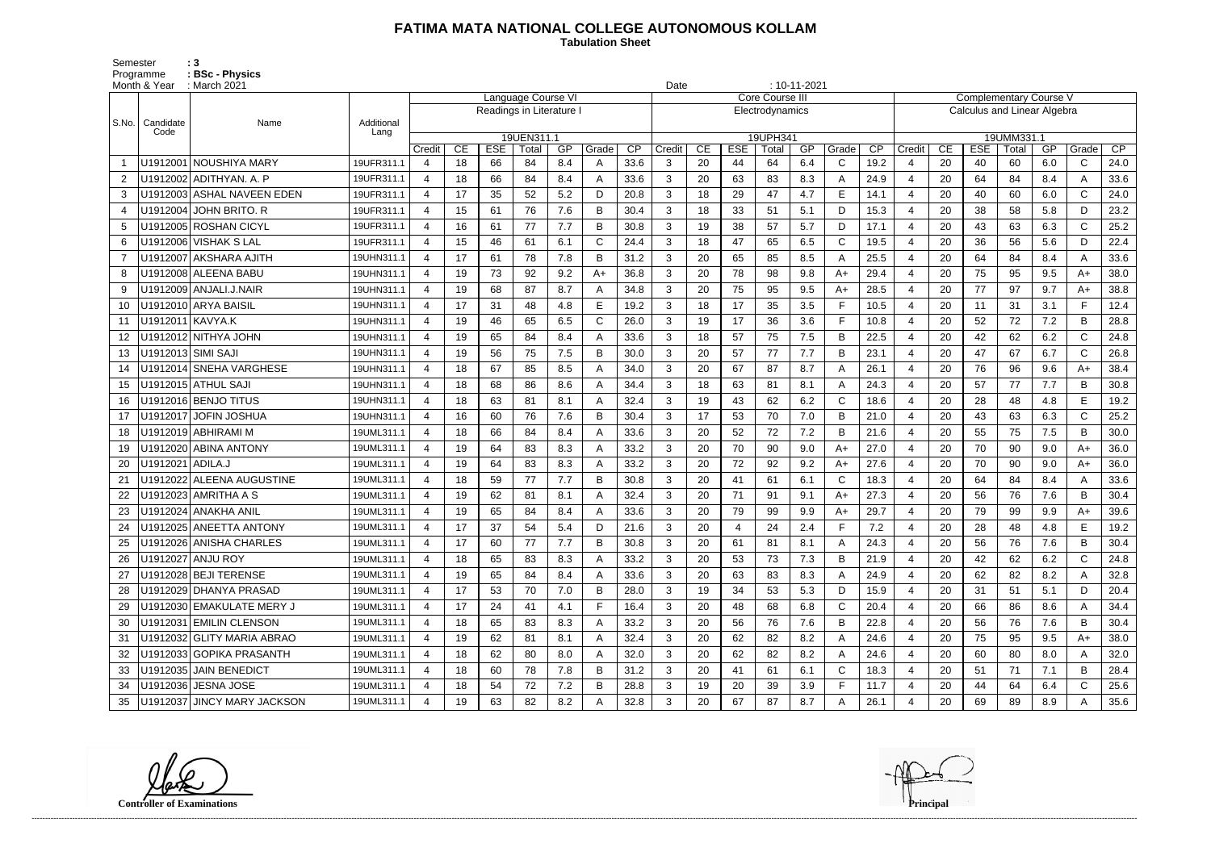## **FATIMA MATA NATIONAL COLLEGE AUTONOMOUS KOLLAM**

Semester : 3 Programme **: BSc - Physics**  **Tabulation Sheet** 

|                | Month & Year       | : March 2021                |            |                          |    |            |                    | Date |       |      |                | $: 10 - 11 - 2021$ |            |                 |     |                |      |                                                              |    |            |       |     |              |      |  |
|----------------|--------------------|-----------------------------|------------|--------------------------|----|------------|--------------------|------|-------|------|----------------|--------------------|------------|-----------------|-----|----------------|------|--------------------------------------------------------------|----|------------|-------|-----|--------------|------|--|
|                |                    | Name                        |            |                          |    |            | Language Course VI |      |       |      |                |                    |            | Core Course II  |     |                |      | <b>Complementary Course V</b><br>Calculus and Linear Algebra |    |            |       |     |              |      |  |
| S.No.          | Candidate          |                             | Additional | Readings in Literature I |    |            |                    |      |       |      |                |                    |            | Electrodynamics |     |                |      |                                                              |    |            |       |     |              |      |  |
|                | Code               |                             | Lang       | 19UEN311.1               |    |            |                    |      |       |      |                |                    |            | 19UPH341        |     |                |      | 19UMM331.1                                                   |    |            |       |     |              |      |  |
|                |                    |                             |            | Credit                   | CE | <b>ESE</b> | Total              | GP   | Grade | CP   | Credit         | CE                 | <b>ESE</b> | Total           | GP  | Grade          | CP   | Credit                                                       | CE | <b>ESE</b> | Total | GP  | Grade        | CP   |  |
|                |                    | U1912001 NOUSHIYA MARY      | 19UFR311.1 | 4                        | 18 | 66         | 84                 | 8.4  | A     | 33.6 | 3              | 20                 | 44         | 64              | 6.4 | C              | 19.2 | -4                                                           | 20 | 40         | 60    | 6.0 | C            | 24.0 |  |
| $\overline{2}$ |                    | U1912002 ADITHYAN. A. P     | 19UFR311.1 | 4                        | 18 | 66         | 84                 | 8.4  |       | 33.6 | 3              | 20                 | 63         | 83              | 8.3 | A              | 24.9 | $\overline{4}$                                               | 20 | 64         | 84    | 8.4 | A            | 33.6 |  |
| 3              |                    | U1912003 ASHAL NAVEEN EDEN  | 19UFR311.1 | 4                        | 17 | 35         | 52                 | 5.2  | D     | 20.8 | 3              | 18                 | 29         | 47              | 4.7 | E              | 14.1 | 4                                                            | 20 | 40         | 60    | 6.0 | $\mathsf{C}$ | 24.0 |  |
| $\overline{4}$ |                    | U1912004 JOHN BRITO. R      | 19UFR311.1 | 4                        | 15 | 61         | 76                 | 7.6  | B     | 30.4 | 3              | 18                 | 33         | 51              | 5.1 | D              | 15.3 | $\overline{4}$                                               | 20 | 38         | 58    | 5.8 | D            | 23.2 |  |
| 5              |                    | U1912005 ROSHAN CICYL       | 19UFR311.1 | 4                        | 16 | 61         | 77                 | 7.7  | B     | 30.8 | 3              | 19                 | 38         | 57              | 5.7 | D              | 17.1 | $\overline{4}$                                               | 20 | 43         | 63    | 6.3 | $\mathsf{C}$ | 25.2 |  |
| 6              |                    | U1912006 VISHAK S LAL       | 19UFR311.1 | 4                        | 15 | 46         | 61                 | 6.1  | C     | 24.4 | 3              | 18                 | 47         | 65              | 6.5 | $\mathsf{C}$   | 19.5 | $\overline{4}$                                               | 20 | 36         | 56    | 5.6 | D            | 22.4 |  |
| $\overline{7}$ |                    | U1912007 AKSHARA AJITH      | 19UHN311.1 | 4                        | 17 | 61         | 78                 | 7.8  | B     | 31.2 | 3              | 20                 | 65         | 85              | 8.5 | A              | 25.5 | 4                                                            | 20 | 64         | 84    | 8.4 | A            | 33.6 |  |
| 8              |                    | U1912008 ALEENA BABU        | 19UHN311.1 | 4                        | 19 | 73         | 92                 | 9.2  | $A+$  | 36.8 | 3              | 20                 | 78         | 98              | 9.8 | $A+$           | 29.4 | 4                                                            | 20 | 75         | 95    | 9.5 | A+           | 38.0 |  |
| 9              |                    | U1912009 ANJALI.J.NAIR      | 19UHN311.1 | 4                        | 19 | 68         | 87                 | 8.7  |       | 34.8 | 3              | 20                 | 75         | 95              | 9.5 | $A+$           | 28.5 | $\overline{4}$                                               | 20 | 77         | 97    | 9.7 | A+           | 38.8 |  |
| 10             |                    | U1912010 ARYA BAISIL        | 19UHN311.1 | 4                        | 17 | 31         | 48                 | 4.8  | E     | 19.2 | $\mathbf{3}$   | 18                 | 17         | 35              | 3.5 | $\mathsf{F}$   | 10.5 | $\overline{4}$                                               | 20 | 11         | 31    | 3.1 | F            | 12.4 |  |
| 11             | U1912011 KAVYA.K   |                             | 19UHN311.1 | 4                        | 19 | 46         | 65                 | 6.5  | C     | 26.0 | 3              | 19                 | 17         | 36              | 3.6 | F              | 10.8 | $\overline{4}$                                               | 20 | 52         | 72    | 7.2 | B.           | 28.8 |  |
| 12             |                    | U1912012 NITHYA JOHN        | 19UHN311.1 | 4                        | 19 | 65         | 84                 | 8.4  |       | 33.6 | 3              | 18                 | 57         | 75              | 7.5 | B              | 22.5 | $\boldsymbol{4}$                                             | 20 | 42         | 62    | 6.2 | $\mathsf{C}$ | 24.8 |  |
| 13             | U1912013 SIMI SAJI |                             | 19UHN311.1 | 4                        | 19 | 56         | 75                 | 7.5  | B     | 30.0 | 3              | 20                 | 57         | 77              | 7.7 | B              | 23.1 | $\overline{4}$                                               | 20 | 47         | 67    | 6.7 | $\mathsf{C}$ | 26.8 |  |
| 14             |                    | U1912014 SNEHA VARGHESE     | 19UHN311.1 | 4                        | 18 | 67         | 85                 | 8.5  |       | 34.0 | 3              | 20                 | 67         | 87              | 8.7 | $\overline{A}$ | 26.1 | $\overline{4}$                                               | 20 | 76         | 96    | 9.6 | A+           | 38.4 |  |
| 15             |                    | U1912015 ATHUL SAJI         | 19UHN311.1 | 4                        | 18 | 68         | 86                 | 8.6  | А     | 34.4 | 3              | 18                 | 63         | 81              | 8.1 | A              | 24.3 | $\overline{4}$                                               | 20 | 57         | 77    | 7.7 | B            | 30.8 |  |
| 16             |                    | U1912016 BENJO TITUS        | 19UHN311.1 | 4                        | 18 | 63         | 81                 | 8.1  |       | 32.4 | 3              | 19                 | 43         | 62              | 6.2 | $\mathsf{C}$   | 18.6 | $\overline{4}$                                               | 20 | 28         | 48    | 4.8 | E.           | 19.2 |  |
| 17             |                    | U1912017 JOFIN JOSHUA       | 19UHN311.1 | 4                        | 16 | 60         | 76                 | 7.6  | в     | 30.4 | 3              | 17                 | 53         | 70              | 7.0 | B              | 21.0 | $\overline{4}$                                               | 20 | 43         | 63    | 6.3 | $\mathsf{C}$ | 25.2 |  |
| 18             |                    | U1912019 ABHIRAMI M         | 19UML311.1 | 4                        | 18 | 66         | 84                 | 8.4  | А     | 33.6 | 3              | 20                 | 52         | 72              | 7.2 | B              | 21.6 | $\overline{4}$                                               | 20 | 55         | 75    | 7.5 | B            | 30.0 |  |
| 19             |                    | U1912020 ABINA ANTONY       | 19UML311.1 | 4                        | 19 | 64         | 83                 | 8.3  |       | 33.2 | 3              | 20                 | 70         | 90              | 9.0 | $A+$           | 27.0 | $\overline{4}$                                               | 20 | 70         | 90    | 9.0 | A+           | 36.0 |  |
| 20             | U1912021 ADILA.J   |                             | 19UML311.1 | 4                        | 19 | 64         | 83                 | 8.3  | А     | 33.2 | 3              | 20                 | 72         | 92              | 9.2 | $A+$           | 27.6 | 4                                                            | 20 | 70         | 90    | 9.0 | A+           | 36.0 |  |
| 21             |                    | U1912022 ALEENA AUGUSTINE   | 19UML311.1 | 4                        | 18 | 59         | 77                 | 7.7  | B     | 30.8 | 3              | 20                 | 41         | 61              | 6.1 | C              | 18.3 | $\overline{4}$                                               | 20 | 64         | 84    | 8.4 | A            | 33.6 |  |
| 22             |                    | U1912023 AMRITHA A S        | 19UML311.1 | 4                        | 19 | 62         | 81                 | 8.1  |       | 32.4 | 3              | 20                 | 71         | 91              | 9.1 | $A+$           | 27.3 | $\overline{4}$                                               | 20 | 56         | 76    | 7.6 | B            | 30.4 |  |
| 23             |                    | U1912024 ANAKHA ANIL        | 19UML311.1 | 4                        | 19 | 65         | 84                 | 8.4  | А     | 33.6 | 3              | 20                 | 79         | 99              | 9.9 | $A+$           | 29.7 | 4                                                            | 20 | 79         | 99    | 9.9 | A+           | 39.6 |  |
| 24             |                    | U1912025 ANEETTA ANTONY     | 19UML311.1 | 4                        | 17 | 37         | 54                 | 5.4  | D     | 21.6 | 3              | 20                 |            | 24              | 2.4 | E              | 7.2  | $\overline{4}$                                               | 20 | 28         | 48    | 4.8 | E.           | 19.2 |  |
|                |                    | U1912026 ANISHA CHARLES     | 19UML311.1 | 4                        | 17 | 60         | 77                 | 7.7  | в     | 30.8 | 3              | 20                 | 61         | 81              | 8.1 | A              | 24.3 | 4                                                            | 20 | 56         | 76    | 7.6 | B            | 30.4 |  |
| 26             |                    | U1912027 ANJU ROY           | 19UML311.1 | 4                        | 18 | 65         | 83                 | 8.3  |       | 33.2 | 3              | 20                 | 53         | 73              | 7.3 | В              | 21.9 | 4                                                            | 20 | 42         | 62    | 6.2 | C.           | 24.8 |  |
| 27             |                    | U1912028 BEJI TERENSE       | 19UML311.1 | 4                        | 19 | 65         | 84                 | 8.4  |       | 33.6 | 3              | 20                 | 63         | 83              | 8.3 | A              | 24.9 | 4                                                            | 20 | 62         | 82    | 8.2 |              | 32.8 |  |
| 28             |                    | U1912029 DHANYA PRASAD      | 19UML311.1 | 4                        | 17 | 53         | 70                 | 7.0  | B     | 28.0 | $\mathbf{3}$   | 19                 | 34         | 53              | 5.3 | D              | 15.9 | 4                                                            | 20 | 31         | 51    | 5.1 | D            | 20.4 |  |
| 29             |                    | U1912030 EMAKULATE MERY J   | 19UML311.1 | 4                        | 17 | 24         | 41                 | 4.1  |       | 16.4 | 3              | 20                 | 48         | 68              | 6.8 | C              | 20.4 | $\overline{4}$                                               | 20 | 66         | 86    | 8.6 |              | 34.4 |  |
| 30             |                    | U1912031 EMILIN CLENSON     | 19UML311.1 | 4                        | 18 | 65         | 83                 | 8.3  |       | 33.2 | 3              | 20                 | 56         | 76              | 7.6 | B              | 22.8 | 4                                                            | 20 | 56         | 76    | 7.6 | B            | 30.4 |  |
| 31             |                    | U1912032 GLITY MARIA ABRAO  | 19UML311.1 | 4                        | 19 | 62         | 81                 | 8.1  | A     | 32.4 | 3              | 20                 | 62         | 82              | 8.2 | A              | 24.6 | 4                                                            | 20 | 75         | 95    | 9.5 | A+           | 38.0 |  |
| 32             |                    | U1912033 GOPIKA PRASANTH    | 19UML311.1 | 4                        | 18 | 62         | 80                 | 8.0  |       | 32.0 | 3              | 20                 | 62         | 82              | 8.2 | A              | 24.6 | 4                                                            | 20 | 60         | 80    | 8.0 |              | 32.0 |  |
| 33             |                    | U1912035 JAIN BENEDICT      | 19UML311.1 | 4                        | 18 | 60         | 78                 | 7.8  | B     | 31.2 | 3              | 20                 | 41         | 61              | 6.1 | C              | 18.3 | 4                                                            | 20 | 51         | 71    | 7.1 | B            | 28.4 |  |
| 34             |                    | U1912036 JESNA JOSE         | 19UML311.1 | 4                        | 18 | 54         | 72                 | 7.2  | В     | 28.8 | 3              | 19                 | 20         | 39              | 3.9 | F              | 11.7 | $\overline{4}$                                               | 20 | 44         | 64    | 6.4 | C            | 25.6 |  |
| 35             |                    | U1912037 JINCY MARY JACKSON | 19UML311.1 | 4                        | 19 | 63         | 82                 | 8.2  |       | 32.8 | 3 <sup>1</sup> | 20                 | 67         | 87              | 8.7 |                | 26.1 | 4                                                            | 20 | 69         | 89    | 8.9 |              | 35.6 |  |

**Controller of Examinations Principal**

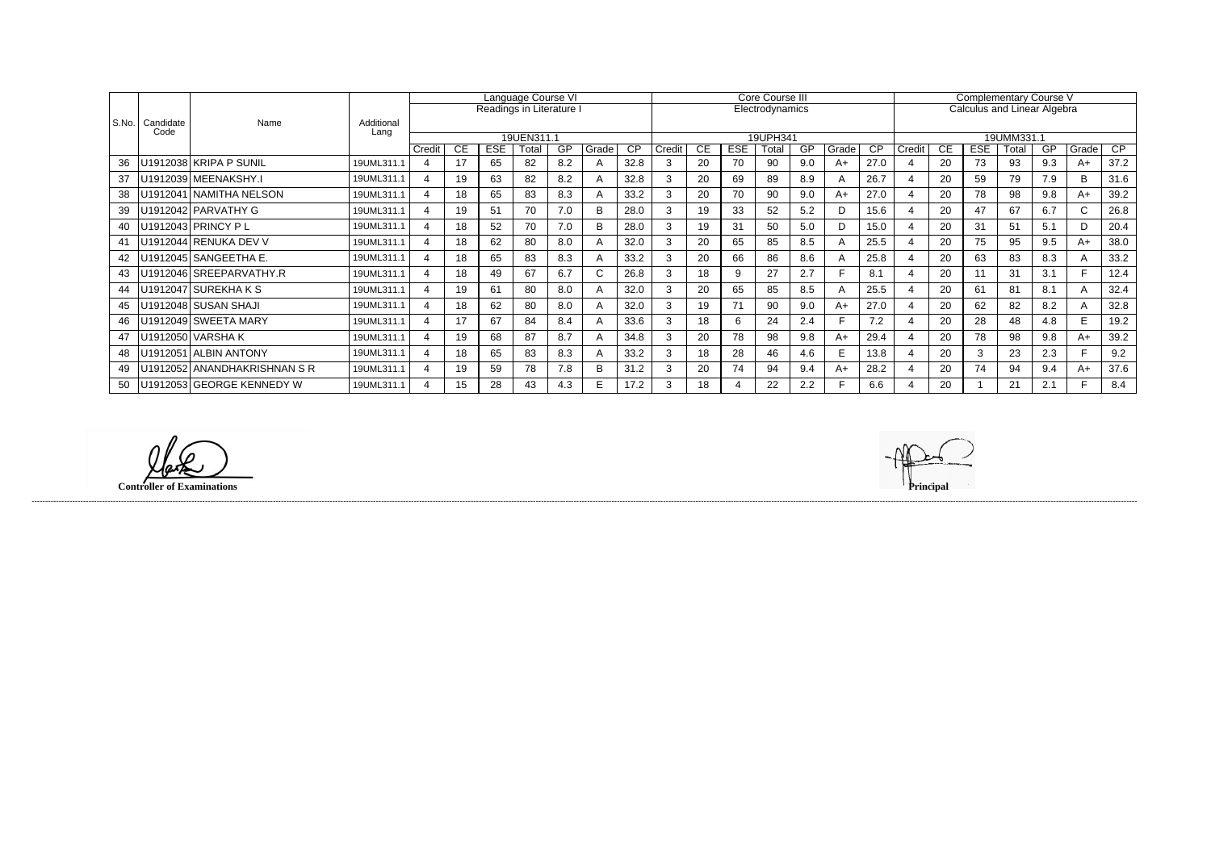|       |                   | Name                        | Additional<br>Lang | Language Course VI       |    |            |       |     |       |                 |                 |    | Core Course III |          |           |       | <b>Complementary Course V</b> |        |                                    |            |            |     |              |      |  |  |
|-------|-------------------|-----------------------------|--------------------|--------------------------|----|------------|-------|-----|-------|-----------------|-----------------|----|-----------------|----------|-----------|-------|-------------------------------|--------|------------------------------------|------------|------------|-----|--------------|------|--|--|
|       |                   |                             |                    | Readings in Literature I |    |            |       |     |       |                 | Electrodynamics |    |                 |          |           |       |                               |        | <b>Calculus and Linear Algebra</b> |            |            |     |              |      |  |  |
| S.No. | Candidate<br>Code |                             |                    |                          |    |            |       |     |       |                 |                 |    |                 |          |           |       |                               |        |                                    |            |            |     |              |      |  |  |
|       |                   |                             |                    | 19UEN311.1               |    |            |       |     |       |                 |                 |    |                 | 19UPH341 |           |       |                               |        |                                    |            | 19UMM331.1 |     |              |      |  |  |
|       |                   |                             |                    | Credit                   | CE | <b>ESE</b> | Total | GP  | Grade | $\overline{CP}$ | Credit          | CE | <b>ESE</b>      | Total    | <b>GP</b> | Grade | <b>CP</b>                     | Credit | CE                                 | <b>ESE</b> | Total      | GP  | Grade        | CP   |  |  |
| 36    |                   | U1912038 KRIPA P SUNIL      | 19UML311.1         | $\overline{4}$           | 17 | 65         | 82    | 8.2 |       | 32.8            |                 | 20 | 70              | 90       | 9.0       | $A+$  | 27.0                          |        | 20                                 | 73         | 93         | 9.3 | A+           | 37.2 |  |  |
| 37    |                   | U1912039 MEENAKSHY.I        | 19UML311.1         | $\boldsymbol{\varDelta}$ | 19 | 63         | 82    | 8.2 |       | 32.8            |                 | 20 | 69              | 89       | 8.9       | A     | 26.7                          |        | 20                                 | 59         | 79         | 7.9 | B            | 31.6 |  |  |
| 38    |                   | U1912041 NAMITHA NELSON     | 19UML311.1         |                          | 18 | 65         | 83    | 8.3 |       | 33.2            |                 | 20 | 70              | 90       | 9.0       | $A+$  | 27.0                          |        | 20                                 | 78         | 98         | 9.8 | A+           | 39.2 |  |  |
| 39    |                   | U1912042 PARVATHY G         | 19UML311.1         |                          | 19 | 51         | 70    | 7.0 |       | 28.0            |                 | 19 | 33              | 52       | 5.2       | D     | 15.6                          |        | 20                                 | 47         | 67         | 6.7 |              | 26.8 |  |  |
| 40    |                   | U1912043 PRINCY PL          | 19UML311.1         |                          | 18 | 52         | 70    | 7.0 | B     | 28.0            | 3               | 19 | 31              | 50       | 5.0       | D     | 15.0                          |        | 20                                 | 31         | 51         | 5.1 | $\mathsf{D}$ | 20.4 |  |  |
| 41    |                   | U1912044 RENUKA DEV V       | 19UML311.1         |                          | 18 | 62         | 80    | 8.0 |       | 32.0            |                 | 20 | 65              | 85       | 8.5       | A     | 25.5                          |        | 20                                 | 75         | 95         | 9.5 | A+           | 38.0 |  |  |
| 42    |                   | U1912045   SANGEETHA E.     | 19UML311.1         | $\boldsymbol{\varDelta}$ | 18 | 65         | 83    | 8.3 |       | 33.2            | 3               | 20 | 66              | 86       | 8.6       | A     | 25.8                          |        | 20                                 | 63         | 83         | 8.3 |              | 33.2 |  |  |
| 43    |                   | U1912046 SREEPARVATHY.R     | 19UML311.1         |                          | 18 | 49         | 67    | 6.7 |       | 26.8            |                 | 18 | 9               | 27       | 2.7       |       | 8.1                           |        | 20                                 | 11         | 31         | 3.1 |              | 12.4 |  |  |
| 44    |                   | U1912047   SUREKHA K S      | 19UML311.1         |                          | 19 | 61         | 80    | 8.0 |       | 32.0            |                 | 20 | 65              | 85       | 8.5       | A     | 25.5                          |        | 20                                 | 61         | 81         | 8.1 | $\mathsf{A}$ | 32.4 |  |  |
| 45    |                   | U1912048 SUSAN SHAJI        | 19UML311.1         | $\boldsymbol{\Delta}$    | 18 | 62         | 80    | 8.0 |       | 32.0            | 3               | 19 | 71              | 90       | 9.0       | $A+$  | 27.0                          |        | 20                                 | 62         | 82         | 8.2 | $\mathsf{A}$ | 32.8 |  |  |
| 46    |                   | U1912049 SWEETA MARY        | 19UML311.1         | $\boldsymbol{\Delta}$    |    | 67         | 84    | 8.4 |       | 33.6            | 3               | 18 | 6               | 24       | 2.4       |       | 7.2                           |        | 20                                 | 28         | 48         | 4.8 | E.           | 19.2 |  |  |
| 47    |                   | U1912050 VARSHAK            | 19UML311.1         | 4                        | 19 | 68         | 87    | 8.7 |       | 34.8            |                 | 20 | 78              | 98       | 9.8       | $A+$  | 29.4                          |        | 20                                 | 78         | 98         | 9.8 | A+           | 39.2 |  |  |
| 48    |                   | U1912051 ALBIN ANTONY       | 19UML311.1         |                          | 18 | 65         | 83    | 8.3 |       | 33.2            |                 | 18 | 28              | 46       | 4.6       | E.    | 13.8                          |        | 20                                 | 3          | 23         | 2.3 |              | 9.2  |  |  |
| 49    |                   | U1912052 ANANDHAKRISHNAN SR | 19UML311.1         |                          | 19 | 59         | 78    | 7.8 | в     | 31.2            | 3               | 20 | 74              | 94       | 9.4       | $A+$  | 28.2                          |        | 20                                 | 74         | 94         | 9.4 | A+           | 37.6 |  |  |
| 50    |                   | U1912053 GEORGE KENNEDY W   | 19UML311.1         | $\boldsymbol{\Delta}$    | 15 | 28         | 43    | 4.3 |       | 17.2            | 3               | 18 |                 | 22       | 2.2       |       | 6.6                           |        | 20                                 |            | 21         | 2.1 |              | 8.4  |  |  |

**Controller of Examinations** 

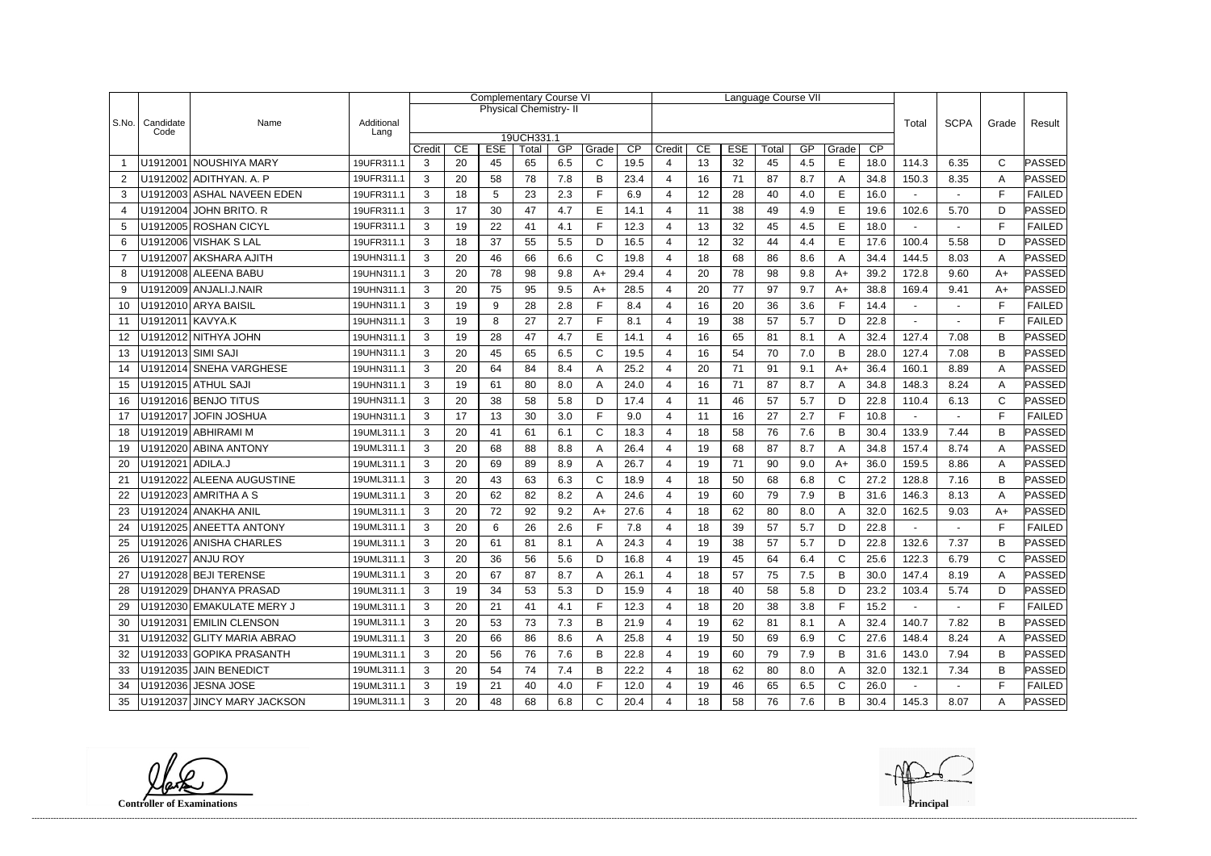|                |                    |                             |                    | <b>Complementary Course VI</b> |            |                     |                              |       |              |        |                       |            | Language Course VII |    |       |              |             |                |                |              |               |
|----------------|--------------------|-----------------------------|--------------------|--------------------------------|------------|---------------------|------------------------------|-------|--------------|--------|-----------------------|------------|---------------------|----|-------|--------------|-------------|----------------|----------------|--------------|---------------|
|                |                    | Name                        | Additional<br>Lang |                                |            |                     | <b>Physical Chemistry-II</b> |       |              |        |                       |            |                     |    |       |              |             |                |                |              |               |
| S.No.          | Candidate<br>Code  |                             |                    |                                |            |                     |                              |       |              |        |                       |            |                     |    |       | Total        | <b>SCPA</b> | Grade          | Result         |              |               |
|                |                    |                             | Credit             | CE                             | <b>ESE</b> | 19UCH331.1<br>Total | GP                           | Grade | CP           | Credit | CE                    | <b>ESE</b> | Total               | GP | Grade | CP           |             |                |                |              |               |
|                |                    | U1912001 NOUSHIYA MARY      | 19UFR311.1         | 3                              | 20         | 45                  | 65                           | 6.5   | C            | 19.5   | ⊿                     | 13         | 32                  | 45 | 4.5   | Е            | 18.0        | 114.3          | 6.35           | C            | PASSED        |
| 2              |                    | U1912002 ADITHYAN. A. P     | 19UFR311.1         | 3                              | 20         | 58                  | 78                           | 7.8   | B            | 23.4   | 4                     | 16         | 71                  | 87 | 8.7   | A            | 34.8        | 150.3          | 8.35           | A            | PASSED        |
| 3              |                    | U1912003 ASHAL NAVEEN EDEN  | 19UFR311.1         | 3                              | 18         | 5                   | 23                           | 2.3   | F            | 6.9    | 4                     | 12         | 28                  | 40 | 4.0   | E            | 16.0        |                |                | F            | <b>FAILED</b> |
| $\overline{4}$ |                    | U1912004 JOHN BRITO. R      | 19UFR311.1         | 3                              | 17         | 30                  | 47                           | 4.7   | E            | 14.1   | 4                     | 11         | 38                  | 49 | 4.9   | E            | 19.6        | 102.6          | 5.70           | D            | <b>PASSED</b> |
| 5              |                    | U1912005 ROSHAN CICYL       | 19UFR311.1         | 3                              | 19         | 22                  | 41                           | 4.1   | F            | 12.3   | 4                     | 13         | 32                  | 45 | 4.5   | $\mathsf E$  | 18.0        | $\blacksquare$ | $\blacksquare$ | $\mathsf{F}$ | <b>FAILED</b> |
| 6              |                    | U1912006 VISHAK S LAL       | 19UFR311.1         | 3                              | 18         | 37                  | 55                           | 5.5   | D            | 16.5   | 4                     | 12         | 32                  | 44 | 4.4   | E            | 17.6        | 100.4          | 5.58           | D            | PASSED        |
| $\overline{7}$ |                    | U1912007   AKSHARA AJITH    | 19UHN311.1         | 3                              | 20         | 46                  | 66                           | 6.6   | $\mathsf{C}$ | 19.8   | 4                     | 18         | 68                  | 86 | 8.6   | A            | 34.4        | 144.5          | 8.03           | A            | PASSED        |
| 8              |                    | U1912008 ALEENA BABU        | 19UHN311.1         | 3                              | 20         | 78                  | 98                           | 9.8   | $A+$         | 29.4   | ⊿                     | 20         | 78                  | 98 | 9.8   | A+           | 39.2        | 172.8          | 9.60           | $A+$         | PASSED        |
| 9              |                    | U1912009 ANJALI.J.NAIR      | 19UHN311.1         | 3                              | 20         | 75                  | 95                           | 9.5   | $A+$         | 28.5   | $\boldsymbol{\Delta}$ | 20         | 77                  | 97 | 9.7   | $A+$         | 38.8        | 169.4          | 9.41           | $A+$         | <b>PASSED</b> |
| 10             |                    | U1912010 ARYA BAISIL        | 19UHN311.1         | 3                              | 19         | 9                   | 28                           | 2.8   | F            | 8.4    | 4                     | 16         | 20                  | 36 | 3.6   | F            | 14.4        |                |                | E            | <b>FAILED</b> |
| 11             | U1912011 KAVYA.K   |                             | 19UHN311.1         | 3                              | 19         | 8                   | 27                           | 2.7   | F            | 8.1    | 4                     | 19         | 38                  | 57 | 5.7   | D            | 22.8        |                |                | E            | <b>FAILED</b> |
| 12             |                    | U1912012 NITHYA JOHN        | 19UHN311.1         | 3                              | 19         | 28                  | 47                           | 4.7   | E            | 14.1   | 4                     | 16         | 65                  | 81 | 8.1   | A            | 32.4        | 127.4          | 7.08           | В            | PASSED        |
| 13             | U1912013 SIMI SAJI |                             | 19UHN311.1         | 3                              | 20         | 45                  | 65                           | 6.5   | $\mathsf{C}$ | 19.5   | 4                     | 16         | 54                  | 70 | 7.0   | B            | 28.0        | 127.4          | 7.08           | B            | PASSED        |
| 14             |                    | U1912014 SNEHA VARGHESE     | 19UHN311.1         | 3                              | 20         | 64                  | 84                           | 8.4   | A            | 25.2   | 4                     | 20         | 71                  | 91 | 9.1   | $A+$         | 36.4        | 160.1          | 8.89           | Α            | PASSED        |
| 15             |                    | U1912015 ATHUL SAJI         | 19UHN311.1         | 3                              | 19         | 61                  | 80                           | 8.0   | A            | 24.0   | 4                     | 16         | 71                  | 87 | 8.7   | A            | 34.8        | 148.3          | 8.24           | A            | <b>PASSED</b> |
| 16             |                    | U1912016 BENJO TITUS        | 19UHN311.1         | 3                              | 20         | 38                  | 58                           | 5.8   | D            | 17.4   | 4                     | 11         | 46                  | 57 | 5.7   | D            | 22.8        | 110.4          | 6.13           | $\mathsf{C}$ | PASSED        |
| 17             |                    | U1912017 JOFIN JOSHUA       | 19UHN311.1         | 3                              | 17         | 13                  | 30                           | 3.0   | F            | 9.0    | 4                     | 11         | 16                  | 27 | 2.7   | F.           | 10.8        |                |                | F            | <b>FAILED</b> |
| 18             |                    | U1912019 ABHIRAMI M         | 19UML311.1         | 3                              | 20         | 41                  | 61                           | 6.1   | C            | 18.3   | ⊿                     | 18         | 58                  | 76 | 7.6   | B            | 30.4        | 133.9          | 7.44           | B            | PASSED        |
| 19             |                    | U1912020 ABINA ANTONY       | 19UML311.1         | 3                              | 20         | 68                  | 88                           | 8.8   | A            | 26.4   | $\boldsymbol{\Delta}$ | 19         | 68                  | 87 | 8.7   | A            | 34.8        | 157.4          | 8.74           | A            | PASSED        |
| 20             | U1912021 ADILA.J   |                             | 19UML311.1         | 3                              | 20         | 69                  | 89                           | 8.9   | A            | 26.7   | 4                     | 19         | 71                  | 90 | 9.0   | A+           | 36.0        | 159.5          | 8.86           | A            | <b>PASSED</b> |
| 21             |                    | U1912022 ALEENA AUGUSTINE   | 19UML311.1         | 3                              | 20         | 43                  | 63                           | 6.3   | $\mathsf C$  | 18.9   | 4                     | 18         | 50                  | 68 | 6.8   | $\mathsf C$  | 27.2        | 128.8          | 7.16           | B            | PASSED        |
| 22             |                    | U1912023 AMRITHA A S        | 19UML311.1         | 3                              | 20         | 62                  | 82                           | 8.2   | A            | 24.6   | 4                     | 19         | 60                  | 79 | 7.9   | B            | 31.6        | 146.3          | 8.13           | Α            | PASSED        |
| 23             |                    | U1912024 ANAKHA ANIL        | 19UML311.1         | 3                              | 20         | 72                  | 92                           | 9.2   | $A+$         | 27.6   | 4                     | 18         | 62                  | 80 | 8.0   | A            | 32.0        | 162.5          | 9.03           | $A+$         | PASSED        |
| 24             |                    | U1912025 ANEETTA ANTONY     | 19UML311.1         | 3                              | 20         | 6                   | 26                           | 2.6   | E            | 7.8    | Δ                     | 18         | 39                  | 57 | 5.7   | D            | 22.8        |                |                | F            | <b>FAILED</b> |
| 25             |                    | U1912026 ANISHA CHARLES     | 19UML311.1         | 3                              | 20         | 61                  | 81                           | 81    |              | 24.3   | Δ                     | 19         | 38                  | 57 | 57    | D            | 22.8        | 132.6          | 7.37           | B            | PASSED        |
| 26             |                    | U1912027 ANJU ROY           | 19UML311.1         | 3                              | 20         | 36                  | 56                           | 5.6   | D            | 16.8   | 4                     | 19         | 45                  | 64 | 6.4   | C            | 25.6        | 122.3          | 6.79           | $\mathsf{C}$ | PASSED        |
| 27             |                    | U1912028 BEJI TERENSE       | 19UML311.1         | 3                              | 20         | 67                  | 87                           | 8.7   | A            | 26.1   | 4                     | 18         | 57                  | 75 | 7.5   | B            | 30.0        | 147.4          | 8.19           | A            | PASSED        |
| 28             |                    | U1912029 DHANYA PRASAD      | 19UML311.1         | 3                              | 19         | 34                  | 53                           | 5.3   | D            | 15.9   | 4                     | 18         | 40                  | 58 | 5.8   | D            | 23.2        | 103.4          | 5.74           | D            | PASSED        |
| 29             |                    | U1912030 EMAKULATE MERY J   | 19UML311.1         | $\mathbf{3}$                   | 20         | 21                  | 41                           | 4.1   | F            | 12.3   | 4                     | 18         | 20                  | 38 | 3.8   | F            | 15.2        | $\sim$         |                | F            | <b>FAILED</b> |
| 30             |                    | U1912031 EMILIN CLENSON     | 19UML311.1         | 3                              | 20         | 53                  | 73                           | 7.3   | В            | 21.9   | 4                     | 19         | 62                  | 81 | 8.1   | A            | 32.4        | 140.7          | 7.82           | B            | <b>PASSED</b> |
| -31            |                    | U1912032 GLITY MARIA ABRAO  | 19UML311.1         | 3                              | 20         | 66                  | 86                           | 8.6   | A            | 25.8   | 4                     | 19         | 50                  | 69 | 6.9   | C            | 27.6        | 148.4          | 8.24           | A            | PASSED        |
| 32             |                    | U1912033 GOPIKA PRASANTH    | 19UML311.1         | 3                              | 20         | 56                  | 76                           | 7.6   | B            | 22.8   | 4                     | 19         | 60                  | 79 | 7.9   | B            | 31.6        | 143.0          | 7.94           | B            | PASSED        |
| 33             |                    | U1912035 JAIN BENEDICT      | 19UML311.1         | 3                              | 20         | 54                  | 74                           | 7.4   | В            | 22.2   | 4                     | 18         | 62                  | 80 | 8.0   | A            | 32.0        | 132.1          | 7.34           | B            | PASSED        |
| 34             |                    | U1912036   JESNA JOSE       | 19UML311.1         | $\mathbf{3}$                   | 19         | 21                  | 40                           | 4.0   | F            | 12.0   | 4                     | 19         | 46                  | 65 | 6.5   | $\mathsf{C}$ | 26.0        | $\sim$         |                | F            | <b>FAILED</b> |
| 35             |                    | U1912037 JINCY MARY JACKSON | 19UML311.1         | 3                              | 20         | 48                  | 68                           | 6.8   | C            | 20.4   |                       | 18         | 58                  | 76 | 7.6   | B            | 30.4        | 145.3          | 8.07           | A            | <b>PASSED</b> |

**Controller of Examinations Principal**